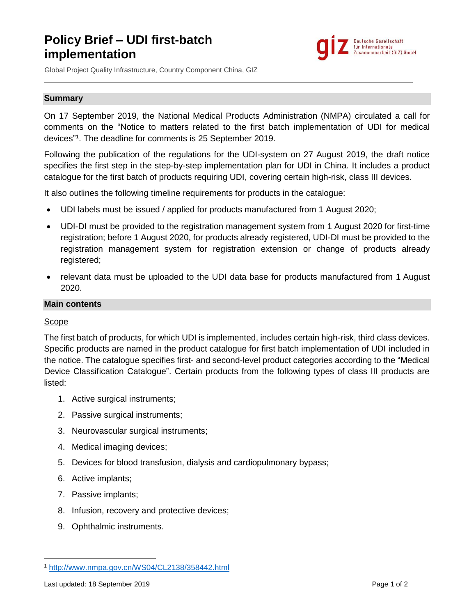# **Policy Brief – UDI first-batch implementation**



Global Project Quality Infrastructure, Country Component China, GIZ

#### **Summary**

On 17 September 2019, the National Medical Products Administration (NMPA) circulated a call for comments on the "Notice to matters related to the first batch implementation of UDI for medical devices" 1 . The deadline for comments is 25 September 2019.

Following the publication of the regulations for the UDI-system on 27 August 2019, the draft notice specifies the first step in the step-by-step implementation plan for UDI in China. It includes a product catalogue for the first batch of products requiring UDI, covering certain high-risk, class III devices.

It also outlines the following timeline requirements for products in the catalogue:

- UDI labels must be issued / applied for products manufactured from 1 August 2020;
- UDI-DI must be provided to the registration management system from 1 August 2020 for first-time registration; before 1 August 2020, for products already registered, UDI-DI must be provided to the registration management system for registration extension or change of products already registered;
- relevant data must be uploaded to the UDI data base for products manufactured from 1 August 2020.

## **Main contents**

### Scope

The first batch of products, for which UDI is implemented, includes certain high-risk, third class devices. Specific products are named in the product catalogue for first batch implementation of UDI included in the notice. The catalogue specifies first- and second-level product categories according to the "Medical Device Classification Catalogue". Certain products from the following types of class III products are listed:

- 1. Active surgical instruments;
- 2. Passive surgical instruments;
- 3. Neurovascular surgical instruments;
- 4. Medical imaging devices;
- 5. Devices for blood transfusion, dialysis and cardiopulmonary bypass;
- 6. Active implants;
- 7. Passive implants;
- 8. Infusion, recovery and protective devices;
- 9. Ophthalmic instruments.

 $\overline{\phantom{a}}$ 

<sup>1</sup> <http://www.nmpa.gov.cn/WS04/CL2138/358442.html>